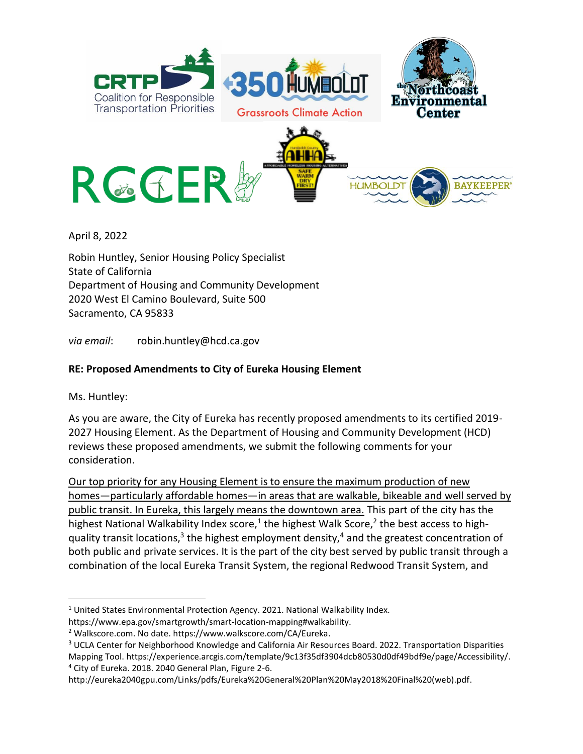

April 8, 2022

Robin Huntley, Senior Housing Policy Specialist State of California Department of Housing and Community Development 2020 West El Camino Boulevard, Suite 500 Sacramento, CA 95833

*via email*: robin.huntley@hcd.ca.gov

## **RE: Proposed Amendments to City of Eureka Housing Element**

Ms. Huntley:

 $\overline{\phantom{a}}$ 

As you are aware, the City of Eureka has recently proposed amendments to its certified 2019- 2027 Housing Element. As the Department of Housing and Community Development (HCD) reviews these proposed amendments, we submit the following comments for your consideration.

Our top priority for any Housing Element is to ensure the maximum production of new homes—particularly affordable homes—in areas that are walkable, bikeable and well served by public transit. In Eureka, this largely means the downtown area. This part of the city has the highest National Walkability Index score,<sup>1</sup> the highest Walk Score,<sup>2</sup> the best access to highquality transit locations,<sup>3</sup> the highest employment density,<sup>4</sup> and the greatest concentration of both public and private services. It is the part of the city best served by public transit through a combination of the local Eureka Transit System, the regional Redwood Transit System, and

<sup>4</sup> City of Eureka. 2018. 2040 General Plan, Figure 2-6.

http://eureka2040gpu.com/Links/pdfs/Eureka%20General%20Plan%20May2018%20Final%20(web).pdf.

<sup>&</sup>lt;sup>1</sup> United States Environmental Protection Agency. 2021. National Walkability Index. https://www.epa.gov/smartgrowth/smart-location-mapping#walkability.

<sup>2</sup> Walkscore.com. No date. https://www.walkscore.com/CA/Eureka.

<sup>&</sup>lt;sup>3</sup> UCLA Center for Neighborhood Knowledge and California Air Resources Board. 2022. Transportation Disparities Mapping Tool. https://experience.arcgis.com/template/9c13f35df3904dcb80530d0df49bdf9e/page/Accessibility/.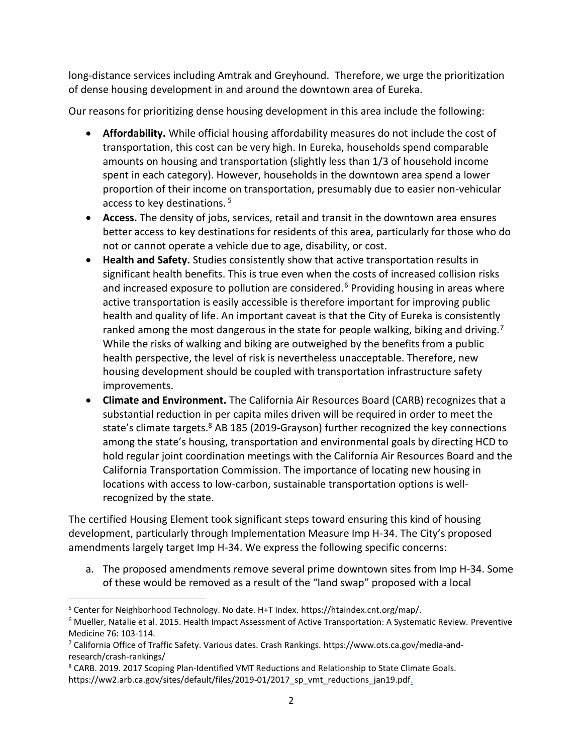long-distance services including Amtrak and Greyhound. Therefore, we urge the prioritization of dense housing development in and around the downtown area of Eureka.

Our reasons for prioritizing dense housing development in this area include the following:

- **Affordability.** While official housing affordability measures do not include the cost of transportation, this cost can be very high. In Eureka, households spend comparable amounts on housing and transportation (slightly less than 1/3 of household income spent in each category). However, households in the downtown area spend a lower proportion of their income on transportation, presumably due to easier non-vehicular access to key destinations. <sup>5</sup>
- **Access.** The density of jobs, services, retail and transit in the downtown area ensures better access to key destinations for residents of this area, particularly for those who do not or cannot operate a vehicle due to age, disability, or cost.
- **Health and Safety.** Studies consistently show that active transportation results in significant health benefits. This is true even when the costs of increased collision risks and increased exposure to pollution are considered.<sup>6</sup> Providing housing in areas where active transportation is easily accessible is therefore important for improving public health and quality of life. An important caveat is that the City of Eureka is consistently ranked among the most dangerous in the state for people walking, biking and driving.<sup>7</sup> While the risks of walking and biking are outweighed by the benefits from a public health perspective, the level of risk is nevertheless unacceptable. Therefore, new housing development should be coupled with transportation infrastructure safety improvements.
- **Climate and Environment.** The California Air Resources Board (CARB) recognizes that a substantial reduction in per capita miles driven will be required in order to meet the state's climate targets.<sup>8</sup> AB 185 (2019-Grayson) further recognized the key connections among the state's housing, transportation and environmental goals by directing HCD to hold regular joint coordination meetings with the California Air Resources Board and the California Transportation Commission. The importance of locating new housing in locations with access to low-carbon, sustainable transportation options is wellrecognized by the state.

The certified Housing Element took significant steps toward ensuring this kind of housing development, particularly through Implementation Measure Imp H-34. The City's proposed amendments largely target Imp H-34. We express the following specific concerns:

a. The proposed amendments remove several prime downtown sites from Imp H-34. Some of these would be removed as a result of the "land swap" proposed with a local

 $\overline{\phantom{a}}$ 

<sup>&</sup>lt;sup>5</sup> Center for Neighborhood Technology. No date. H+T Index. https://htaindex.cnt.org/map/.

<sup>6</sup> Mueller, Natalie et al. 2015. Health Impact Assessment of Active Transportation: A Systematic Review. Preventive Medicine 76: 103-114.

<sup>7</sup> California Office of Traffic Safety. Various dates. Crash Rankings. https://www.ots.ca.gov/media-andresearch/crash-rankings/

<sup>8</sup> CARB. 2019. 2017 Scoping Plan-Identified VMT Reductions and Relationship to State Climate Goals. https://ww2.arb.ca.gov/sites/default/files/2019-01/2017\_sp\_vmt\_reductions\_jan19.pdf.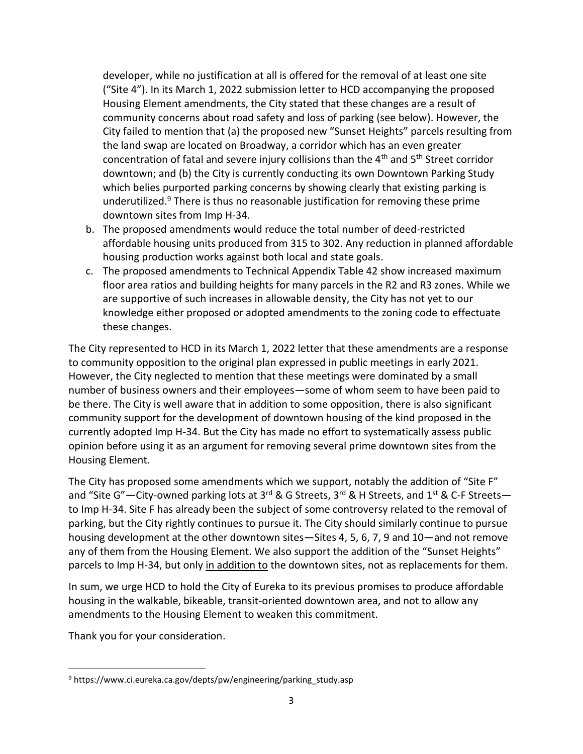developer, while no justification at all is offered for the removal of at least one site ("Site 4"). In its March 1, 2022 submission letter to HCD accompanying the proposed Housing Element amendments, the City stated that these changes are a result of community concerns about road safety and loss of parking (see below). However, the City failed to mention that (a) the proposed new "Sunset Heights" parcels resulting from the land swap are located on Broadway, a corridor which has an even greater concentration of fatal and severe injury collisions than the  $4<sup>th</sup>$  and  $5<sup>th</sup>$  Street corridor downtown; and (b) the City is currently conducting its own Downtown Parking Study which belies purported parking concerns by showing clearly that existing parking is underutilized.<sup>9</sup> There is thus no reasonable justification for removing these prime downtown sites from Imp H-34.

- b. The proposed amendments would reduce the total number of deed-restricted affordable housing units produced from 315 to 302. Any reduction in planned affordable housing production works against both local and state goals.
- c. The proposed amendments to Technical Appendix Table 42 show increased maximum floor area ratios and building heights for many parcels in the R2 and R3 zones. While we are supportive of such increases in allowable density, the City has not yet to our knowledge either proposed or adopted amendments to the zoning code to effectuate these changes.

The City represented to HCD in its March 1, 2022 letter that these amendments are a response to community opposition to the original plan expressed in public meetings in early 2021. However, the City neglected to mention that these meetings were dominated by a small number of business owners and their employees—some of whom seem to have been paid to be there. The City is well aware that in addition to some opposition, there is also significant community support for the development of downtown housing of the kind proposed in the currently adopted Imp H-34. But the City has made no effort to systematically assess public opinion before using it as an argument for removing several prime downtown sites from the Housing Element.

The City has proposed some amendments which we support, notably the addition of "Site F" and "Site G"—City-owned parking lots at 3<sup>rd</sup> & G Streets, 3<sup>rd</sup> & H Streets, and 1<sup>st</sup> & C-F Streets to Imp H-34. Site F has already been the subject of some controversy related to the removal of parking, but the City rightly continues to pursue it. The City should similarly continue to pursue housing development at the other downtown sites—Sites 4, 5, 6, 7, 9 and 10—and not remove any of them from the Housing Element. We also support the addition of the "Sunset Heights" parcels to Imp H-34, but only in addition to the downtown sites, not as replacements for them.

In sum, we urge HCD to hold the City of Eureka to its previous promises to produce affordable housing in the walkable, bikeable, transit-oriented downtown area, and not to allow any amendments to the Housing Element to weaken this commitment.

Thank you for your consideration.

 $\overline{\phantom{a}}$ 

<sup>&</sup>lt;sup>9</sup> https://www.ci.eureka.ca.gov/depts/pw/engineering/parking\_study.asp